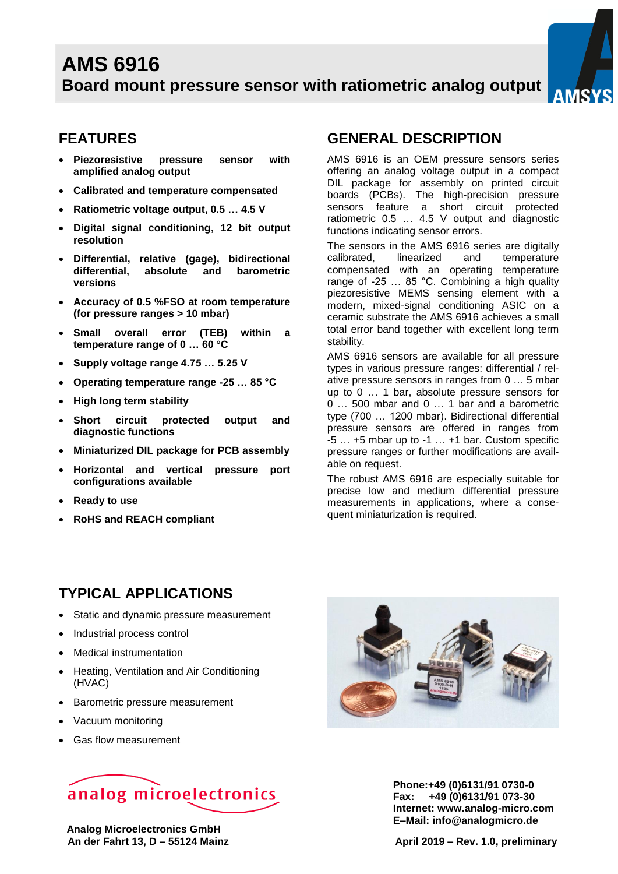

### **FEATURES**

- **Piezoresistive pressure sensor with amplified analog output**
- **Calibrated and temperature compensated**
- **Ratiometric voltage output, 0.5 … 4.5 V**
- **Digital signal conditioning, 12 bit output resolution**
- **Differential, relative (gage), bidirectional differential, absolute and barometric versions**
- **Accuracy of 0.5 %FSO at room temperature (for pressure ranges > 10 mbar)**
- **Small overall error (TEB) within a temperature range of 0 … 60 °C**
- **Supply voltage range 4.75 … 5.25 V**
- **Operating temperature range -25 … 85 °C**
- **High long term stability**
- **Short circuit protected output and diagnostic functions**
- **Miniaturized DIL package for PCB assembly**
- **Horizontal and vertical pressure port configurations available**
- **Ready to use**
- **RoHS and REACH compliant**

### **GENERAL DESCRIPTION**

AMS 6916 is an OEM pressure sensors series offering an analog voltage output in a compact DIL package for assembly on printed circuit boards (PCBs). The high-precision pressure sensors feature a short circuit protected ratiometric 0.5 … 4.5 V output and diagnostic functions indicating sensor errors.

The sensors in the AMS 6916 series are digitally calibrated, linearized and temperature compensated with an operating temperature range of -25 … 85 °C. Combining a high quality piezoresistive MEMS sensing element with a modern, mixed-signal conditioning ASIC on a ceramic substrate the AMS 6916 achieves a small total error band together with excellent long term stability.

AMS 6916 sensors are available for all pressure types in various pressure ranges: differential / relative pressure sensors in ranges from 0 … 5 mbar up to 0 … 1 bar, absolute pressure sensors for 0 … 500 mbar and 0 … 1 bar and a barometric type (700 … 1200 mbar). Bidirectional differential pressure sensors are offered in ranges from  $-5$   $\ldots$  +5 mbar up to  $-1$   $\ldots$  +1 bar. Custom specific pressure ranges or further modifications are available on request.

The robust AMS 6916 are especially suitable for precise low and medium differential pressure measurements in applications, where a consequent miniaturization is required.

### **TYPICAL APPLICATIONS**

- Static and dynamic pressure measurement
- Industrial process control
- Medical instrumentation
- Heating, Ventilation and Air Conditioning (HVAC)
- Barometric pressure measurement
- Vacuum monitoring
- Gas flow measurement



# analog microelectronics

 **Analog Microelectronics GmbH An der Fahrt 13, D – 55124 Mainz April 2019 – Rev. 1.0, preliminary** 

**Phone:+49 (0)6131/91 0730-0 Fax: +49 (0)6131/91 073-30 Internet: [www.analog-micro.c](http://www.analog-micro./)om E–Mail: [info@analogmicro.de](mailto:info@analogmicro.de)**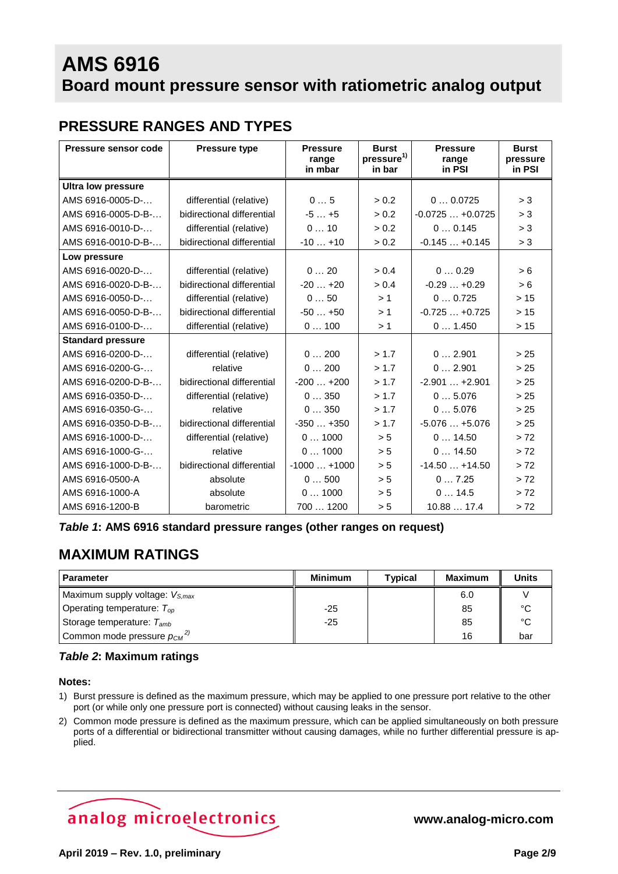### **PRESSURE RANGES AND TYPES**

| Pressure sensor code      | <b>Pressure type</b>       | <b>Pressure</b><br>range<br>in mbar | <b>Burst</b><br>pressure <sup>1)</sup><br>in bar | <b>Pressure</b><br>range<br>in PSI | <b>Burst</b><br>pressure<br>in PSI |
|---------------------------|----------------------------|-------------------------------------|--------------------------------------------------|------------------------------------|------------------------------------|
| <b>Ultra low pressure</b> |                            |                                     |                                                  |                                    |                                    |
| AMS 6916-0005-D-          | differential (relative)    | 05                                  | > 0.2                                            | 00.0725                            | > 3                                |
| AMS 6916-0005-D-B-        | bidirectional differential | $-5+5$                              | > 0.2                                            | $-0.0725+0.0725$                   | > 3                                |
| AMS 6916-0010-D-          | differential (relative)    | 010                                 | > 0.2                                            | 00.145                             | > 3                                |
| AMS 6916-0010-D-B-        | bidirectional differential | $-10+10$                            | > 0.2                                            | $-0.145+0.145$                     | > 3                                |
| Low pressure              |                            |                                     |                                                  |                                    |                                    |
| AMS 6916-0020-D-          | differential (relative)    | 020                                 | > 0.4                                            | 00.29                              | > 6                                |
| AMS 6916-0020-D-B-        | bidirectional differential | $-20+20$                            | > 0.4                                            | $-0.29+0.29$                       | > 6                                |
| AMS 6916-0050-D-          | differential (relative)    | 050                                 | >1                                               | 00.725                             | >15                                |
| AMS 6916-0050-D-B-        | bidirectional differential | $-50+50$                            | >1                                               | $-0.725+0.725$                     | >15                                |
| AMS 6916-0100-D-          | differential (relative)    | 0100                                | >1                                               | 01.450                             | >15                                |
| <b>Standard pressure</b>  |                            |                                     |                                                  |                                    |                                    |
| AMS 6916-0200-D-          | differential (relative)    | 0200                                | > 1.7                                            | 02.901                             | > 25                               |
| AMS 6916-0200-G-          | relative                   | 0200                                | > 1.7                                            | 02.901                             | > 25                               |
| AMS 6916-0200-D-B-        | bidirectional differential | $-200+200$                          | > 1.7                                            | $-2.901+2.901$                     | > 25                               |
| AMS 6916-0350-D-          | differential (relative)    | 0350                                | > 1.7                                            | 05.076                             | > 25                               |
| AMS 6916-0350-G-          | relative                   | 0350                                | > 1.7                                            | 05.076                             | > 25                               |
| AMS 6916-0350-D-B-        | bidirectional differential | $-350+350$                          | > 1.7                                            | $-5.076+5.076$                     | > 25                               |
| AMS 6916-1000-D-          | differential (relative)    | 01000                               | > 5                                              | 014.50                             | > 72                               |
| AMS 6916-1000-G-          | relative                   | 01000                               | > 5                                              | 014.50                             | > 72                               |
| AMS 6916-1000-D-B-        | bidirectional differential | $-1000+1000$                        | > 5                                              | $-14.50+14.50$                     | > 72                               |
| AMS 6916-0500-A           | absolute                   | 0500                                | > 5                                              | 07.25                              | > 72                               |
| AMS 6916-1000-A           | absolute                   | 01000                               | > 5                                              | 014.5                              | > 72                               |
| AMS 6916-1200-B           | barometric                 | 700  1200                           | > 5                                              | 10.88  17.4                        | > 72                               |

<span id="page-1-2"></span>*Table 1***: AMS 6916 standard pressure ranges (other ranges on request)**

### **MAXIMUM RATINGS**

| <b>Parameter</b>                    | <b>Minimum</b> | <b>Typical</b> | <b>Maximum</b> | <b>Units</b> |
|-------------------------------------|----------------|----------------|----------------|--------------|
| Maximum supply voltage: $V_{S,max}$ |                |                | 6.0            |              |
| Operating temperature: $T_{op}$     | $-25$          |                | 85             | °€           |
| Storage temperature: $T_{amb}$      | $-25$          |                | 85             | °€           |
| Common mode pressure $p_{CM}^{2)}$  |                |                | 16             | bar          |

#### *Table 2***: Maximum ratings**

#### **Notes:**

- <span id="page-1-0"></span>1) Burst pressure is defined as the maximum pressure, which may be applied to one pressure port relative to the other port (or while only one pressure port is connected) without causing leaks in the sensor.
- <span id="page-1-1"></span>2) Common mode pressure is defined as the maximum pressure, which can be applied simultaneously on both pressure ports of a differential or bidirectional transmitter without causing damages, while no further differential pressure is applied.

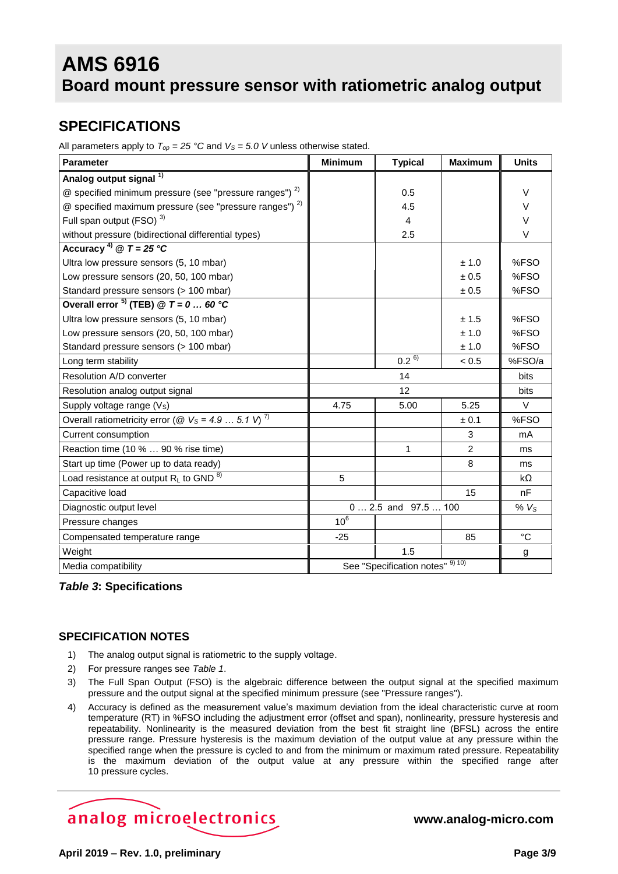### **SPECIFICATIONS**

All parameters apply to  $T_{op} = 25$  °C and  $V_s = 5.0$  V unless otherwise stated.

| <b>Parameter</b>                                                   | <b>Minimum</b>                   | <b>Typical</b> | <b>Maximum</b>   | <b>Units</b> |
|--------------------------------------------------------------------|----------------------------------|----------------|------------------|--------------|
| Analog output signal <sup>1)</sup>                                 |                                  |                |                  |              |
| @ specified minimum pressure (see "pressure ranges") 2)            |                                  | 0.5            |                  | $\vee$       |
| @ specified maximum pressure (see "pressure ranges") <sup>2)</sup> |                                  | 4.5            |                  | V            |
| Full span output (FSO) <sup>3)</sup>                               |                                  | 4              |                  | $\vee$       |
| without pressure (bidirectional differential types)                |                                  | 2.5            |                  | $\vee$       |
| Accuracy <sup>4)</sup> @ $T = 25 °C$                               |                                  |                |                  |              |
| Ultra low pressure sensors (5, 10 mbar)                            |                                  |                | ± 1.0            | %FSO         |
| Low pressure sensors (20, 50, 100 mbar)                            |                                  |                | ± 0.5            | %FSO         |
| Standard pressure sensors (> 100 mbar)                             |                                  |                | $\pm$ 0.5        | %FSO         |
| Overall error $^{5)}$ (TEB) @ T = 0  60 °C                         |                                  |                |                  |              |
| Ultra low pressure sensors (5, 10 mbar)                            |                                  |                | ± 1.5            | %FSO         |
| Low pressure sensors (20, 50, 100 mbar)                            |                                  |                | ± 1.0            | %FSO         |
| Standard pressure sensors (> 100 mbar)                             |                                  |                | ± 1.0            | %FSO         |
| Long term stability                                                |                                  | $0.2^{6}$      | < 0.5            | %FSO/a       |
| Resolution A/D converter                                           |                                  | 14             |                  | bits         |
| Resolution analog output signal                                    | 12                               |                | <b>bits</b>      |              |
| Supply voltage range (V <sub>s</sub> )                             | 4.75                             | 5.00           | 5.25             | $\vee$       |
| Overall ratiometricity error (@ $V_s = 4.9  5.1 V$ ) <sup>7)</sup> |                                  |                | ± 0.1            | %FSO         |
| Current consumption                                                |                                  |                | 3                | mA           |
| Reaction time (10 %  90 % rise time)                               |                                  | $\mathbf{1}$   | $\overline{2}$   | ms           |
| Start up time (Power up to data ready)                             |                                  |                | 8                | ms           |
| Load resistance at output $R_L$ to GND $^{8)}$                     | 5                                |                |                  | kΩ           |
| Capacitive load                                                    |                                  |                | 15               | nF           |
| Diagnostic output level                                            | $0 2.5$ and $97.5 100$           |                | % V <sub>S</sub> |              |
| Pressure changes                                                   | 10 <sup>6</sup>                  |                |                  |              |
| Compensated temperature range                                      | $-25$                            |                | 85               | °C           |
| Weight                                                             |                                  | 1.5            |                  | g            |
| Media compatibility                                                | See "Specification notes" 9) 10) |                |                  |              |

#### *Table 3***: Specifications**

#### **SPECIFICATION NOTES**

- <span id="page-2-0"></span>1) The analog output signal is ratiometric to the supply voltage.
- <span id="page-2-1"></span>2) For pressure ranges see *[Table 1](#page-1-2)*.
- <span id="page-2-2"></span>3) The Full Span Output (FSO) is the algebraic difference between the output signal at the specified maximum pressure and the output signal at the specified minimum pressure (see "Pressure ranges").
- <span id="page-2-3"></span>4) Accuracy is defined as the measurement value's maximum deviation from the ideal characteristic curve at room temperature (RT) in %FSO including the adjustment error (offset and span), nonlinearity, pressure hysteresis and repeatability. Nonlinearity is the measured deviation from the best fit straight line (BFSL) across the entire pressure range. Pressure hysteresis is the maximum deviation of the output value at any pressure within the specified range when the pressure is cycled to and from the minimum or maximum rated pressure. Repeatability is the maximum deviation of the output value at any pressure within the specified range after 10 pressure cycles.

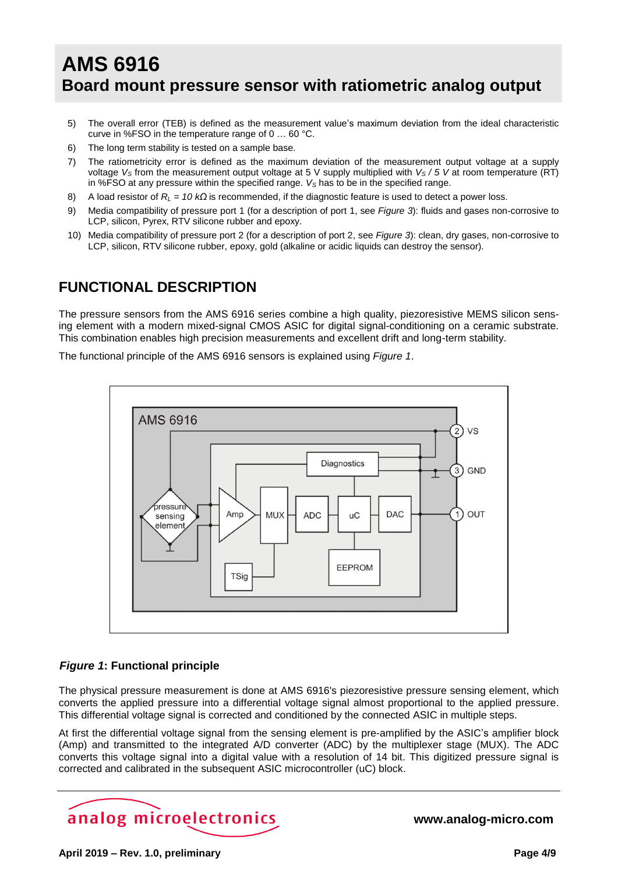- <span id="page-3-0"></span>5) The overall error (TEB) is defined as the measurement value's maximum deviation from the ideal characteristic curve in %FSO in the temperature range of 0 … 60 °C.
- <span id="page-3-1"></span>6) The long term stability is tested on a sample base.
- <span id="page-3-2"></span>7) The ratiometricity error is defined as the maximum deviation of the measurement output voltage at a supply voltage *V<sup>S</sup>* from the measurement output voltage at 5 V supply multiplied with *V<sup>S</sup> / 5 V* at room temperature (RT) in %FSO at any pressure within the specified range. *V<sup>S</sup>* has to be in the specified range.
- <span id="page-3-3"></span>8) A load resistor of *R<sup>L</sup> = 10 kΩ* is recommended, if the diagnostic feature is used to detect a power loss.
- <span id="page-3-4"></span>9) Media compatibility of pressure port 1 (for a description of port 1, see *[Figure 3](#page-6-0)*): fluids and gases non-corrosive to LCP, silicon, Pyrex, RTV silicone rubber and epoxy.
- <span id="page-3-5"></span>10) Media compatibility of pressure port 2 (for a description of port 2, see *[Figure 3](#page-6-0)*): clean, dry gases, non-corrosive to LCP, silicon, RTV silicone rubber, epoxy, gold (alkaline or acidic liquids can destroy the sensor).

### **FUNCTIONAL DESCRIPTION**

The pressure sensors from the AMS 6916 series combine a high quality, piezoresistive MEMS silicon sensing element with a modern mixed-signal CMOS ASIC for digital signal-conditioning on a ceramic substrate. This combination enables high precision measurements and excellent drift and long-term stability.

The functional principle of the AMS 6916 sensors is explained using *[Figure 1](#page-3-6)*.



#### <span id="page-3-6"></span>*Figure 1***: Functional principle**

The physical pressure measurement is done at AMS 6916's piezoresistive pressure sensing element, which converts the applied pressure into a differential voltage signal almost proportional to the applied pressure. This differential voltage signal is corrected and conditioned by the connected ASIC in multiple steps.

At first the differential voltage signal from the sensing element is pre-amplified by the ASIC's amplifier block (Amp) and transmitted to the integrated A/D converter (ADC) by the multiplexer stage (MUX). The ADC converts this voltage signal into a digital value with a resolution of 14 bit. This digitized pressure signal is corrected and calibrated in the subsequent ASIC microcontroller (uC) block.

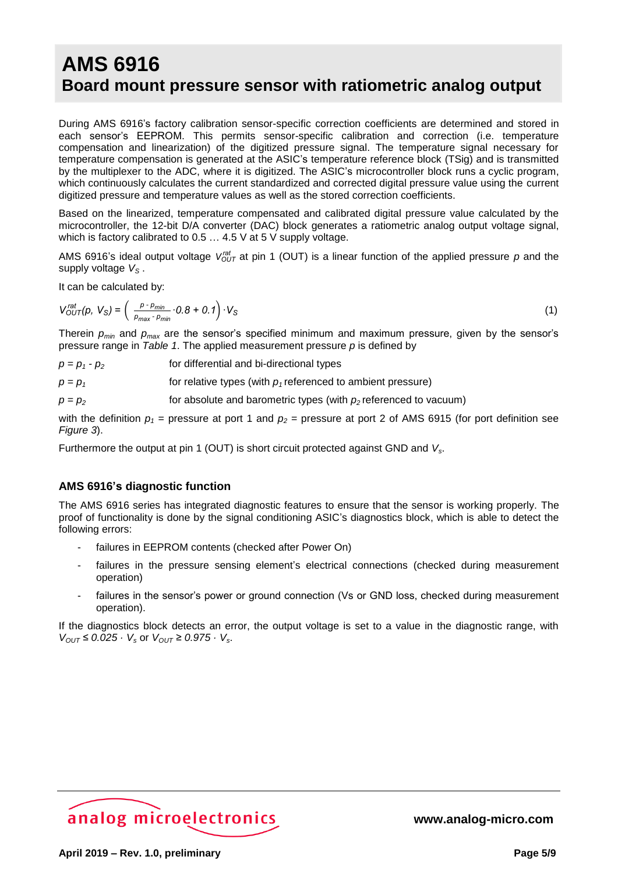During AMS 6916's factory calibration sensor-specific correction coefficients are determined and stored in each sensor's EEPROM. This permits sensor-specific calibration and correction (i.e. temperature compensation and linearization) of the digitized pressure signal. The temperature signal necessary for temperature compensation is generated at the ASIC's temperature reference block (TSig) and is transmitted by the multiplexer to the ADC, where it is digitized. The ASIC's microcontroller block runs a cyclic program, which continuously calculates the current standardized and corrected digital pressure value using the current digitized pressure and temperature values as well as the stored correction coefficients.

Based on the linearized, temperature compensated and calibrated digital pressure value calculated by the microcontroller, the 12-bit D/A converter (DAC) block generates a ratiometric analog output voltage signal, which is factory calibrated to 0.5 … 4.5 V at 5 V supply voltage.

AMS 6916's ideal output voltage  $V_{OUT}^{rat}$  at pin 1 (OUT) is a linear function of the applied pressure  $p$  and the supply voltage *V<sup>S</sup>* .

It can be calculated by:

$$
V_{OUT}^{rat}(p, V_S) = \left(\frac{p \cdot p_{min}}{p_{max} \cdot p_{min}} \cdot 0.8 + 0.1\right) \cdot V_S
$$
\n(1)

Therein *pmin* and *pmax* are the sensor's specified minimum and maximum pressure, given by the sensor's pressure range in *[Table 1](#page-1-2)*. The applied measurement pressure *p* is defined by

| $p = p_1 - p_2$ | for differential and bi-directional types                      |
|-----------------|----------------------------------------------------------------|
| $p = p_1$       | for relative types (with $p_1$ referenced to ambient pressure) |

 $p = p_2$  for absolute and barometric types (with  $p_2$  referenced to vacuum)

with the definition  $p_1$  = pressure at port 1 and  $p_2$  = pressure at port 2 of AMS 6915 (for port definition see *[Figure 3](#page-6-0)*).

Furthermore the output at pin 1 (OUT) is short circuit protected against GND and *Vs*.

#### **AMS 6916's diagnostic function**

The AMS 6916 series has integrated diagnostic features to ensure that the sensor is working properly. The proof of functionality is done by the signal conditioning ASIC's diagnostics block, which is able to detect the following errors:

- failures in EEPROM contents (checked after Power On)
- failures in the pressure sensing element's electrical connections (checked during measurement operation)
- failures in the sensor's power or ground connection (Vs or GND loss, checked during measurement operation).

If the diagnostics block detects an error, the output voltage is set to a value in the diagnostic range, with *V*<sup>OUT</sup> ≤ 0.025 · *V*<sup>*s*</sup> or *V*<sup>OUT</sup> ≥ 0.975 · *V*<sup>*s*</sup>.

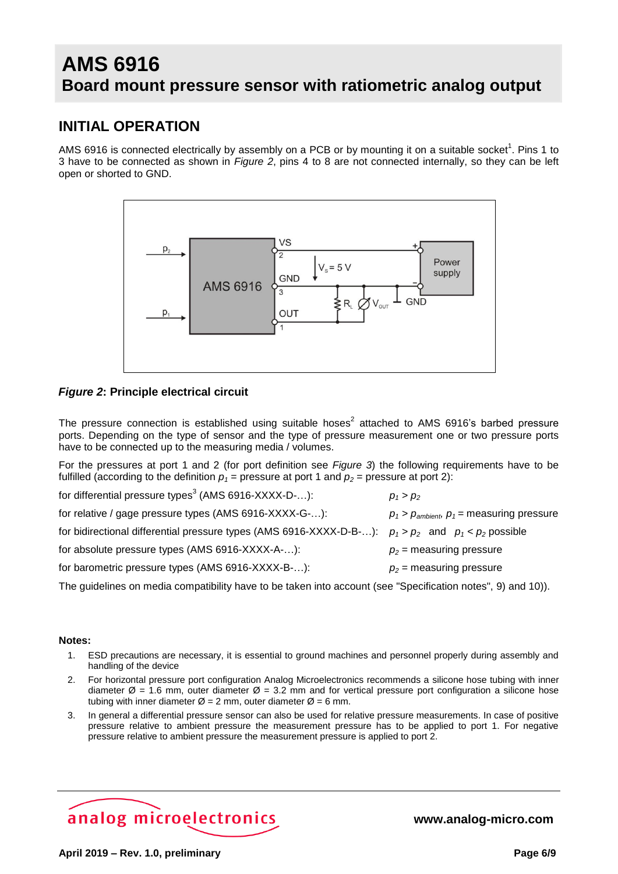### **INITIAL OPERATION**

AMS 6916 is connec[t](#page-5-0)ed electrically by assembly on a PCB or by mounting it on a suitable socket<sup>1</sup>. Pins 1 to 3 have to be connected as shown in *[Figure](#page-5-1) 2*, pins 4 to 8 are not connected internally, so they can be left open or shorted to GND.



#### <span id="page-5-1"></span>*Figure 2***: Principle electrical circuit**

The pressure connection is established using suitable hoses<sup>[2](#page-5-2)</sup> attached to AMS 6916's barbed pressure ports. Depending on the type of sensor and the type of pressure measurement one or two pressure ports have to be connected up to the measuring media / volumes.

For the pressures at port 1 and 2 (for port definition see *[Figure 3](#page-6-0)*) the following requirements have to be fulfilled (according to the definition  $p_1$  = pressure at port 1 and  $p_2$  = pressure at port 2):

| for differential pressure types <sup>3</sup> (AMS 6916-XXXX-D-):                                         | $p_1 > p_2$                                   |
|----------------------------------------------------------------------------------------------------------|-----------------------------------------------|
| for relative / gage pressure types (AMS 6916-XXXX-G-):                                                   | $p_1 > p_{ambient}, p_1 =$ measuring pressure |
| for bidirectional differential pressure types (AMS 6916-XXXX-D-B-): $p_1 > p_2$ and $p_1 < p_2$ possible |                                               |
| for absolute pressure types (AMS 6916-XXXX-A-):                                                          | $p_2$ = measuring pressure                    |
| for barometric pressure types (AMS 6916-XXXX-B-):                                                        | $p_2$ = measuring pressure                    |
|                                                                                                          |                                               |

The guidelines on media compatibility have to be taken into account (see "Specification notes", [9\)](#page-3-4) and [10\)\)](#page-3-5).

#### **Notes:**

- <span id="page-5-0"></span>1. ESD precautions are necessary, it is essential to ground machines and personnel properly during assembly and handling of the device
- <span id="page-5-2"></span>2. For horizontal pressure port configuration Analog Microelectronics recommends a silicone hose tubing with inner diameter  $\varnothing$  = 1.6 mm, outer diameter  $\varnothing$  = 3.2 mm and for vertical pressure port configuration a silicone hose tubing with inner diameter  $\varnothing$  = 2 mm, outer diameter  $\varnothing$  = 6 mm.
- <span id="page-5-3"></span>3. In general a differential pressure sensor can also be used for relative pressure measurements. In case of positive pressure relative to ambient pressure the measurement pressure has to be applied to port 1. For negative pressure relative to ambient pressure the measurement pressure is applied to port 2.

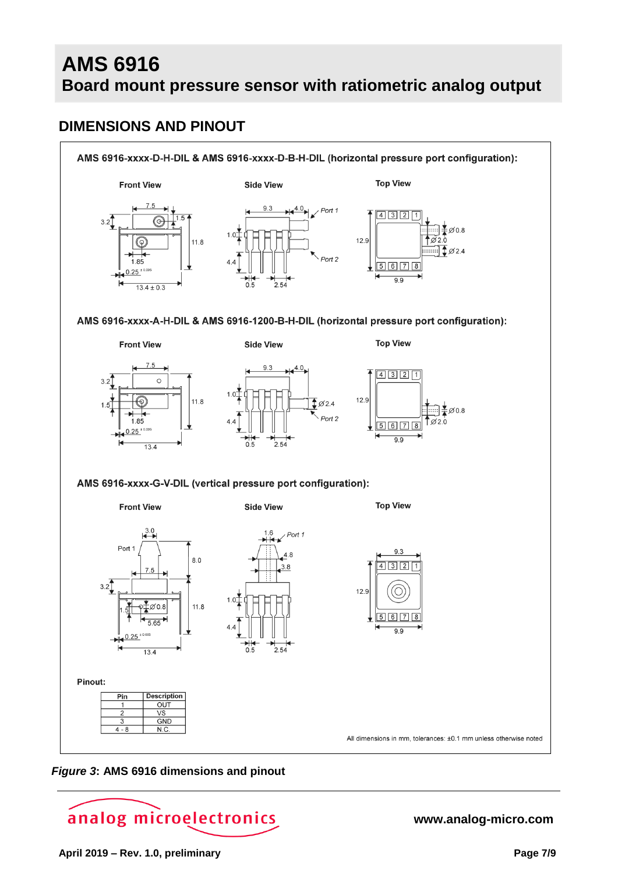### **DIMENSIONS AND PINOUT**



#### <span id="page-6-0"></span>*Figure 3***: AMS 6916 dimensions and pinout**

# analog microelectronics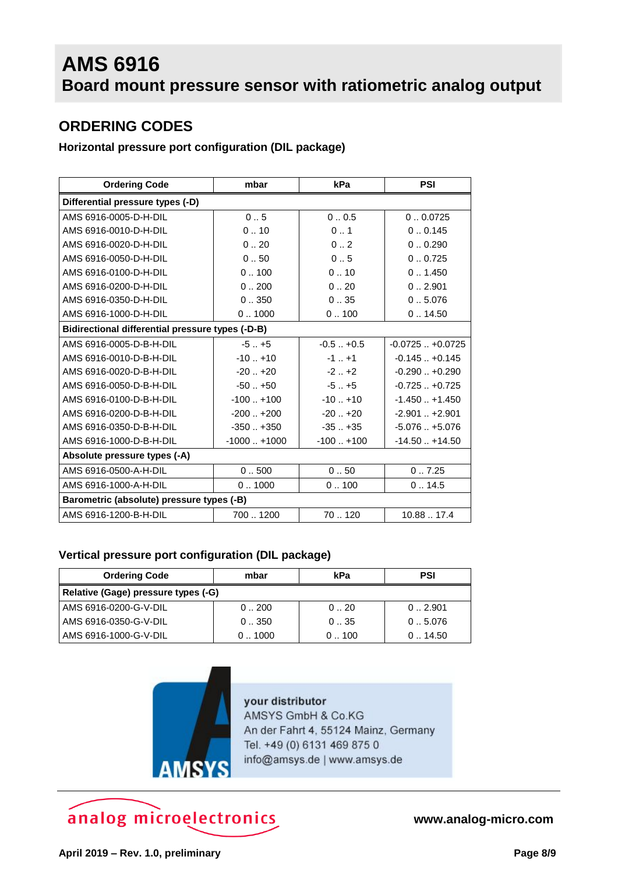### **ORDERING CODES**

### **Horizontal pressure port configuration (DIL package)**

| <b>Ordering Code</b>                             | mbar          | kPa           | <b>PSI</b>          |  |  |
|--------------------------------------------------|---------------|---------------|---------------------|--|--|
| Differential pressure types (-D)                 |               |               |                     |  |  |
| AMS 6916-0005-D-H-DIL                            | 0.5           | 00.5          | 0.00725             |  |  |
| AMS 6916-0010-D-H-DIL                            | 0.10          | 0.1           | 0.0.145             |  |  |
| AMS 6916-0020-D-H-DIL                            | 0.20          | 0.2           | 0.0.290             |  |  |
| AMS 6916-0050-D-H-DIL                            | 0.50          | 0.5           | 0.0.725             |  |  |
| AMS 6916-0100-D-H-DIL                            | 0.100         | 0.10          | 0.1450              |  |  |
| AMS 6916-0200-D-H-DIL                            | 0.0200        | 0.20          | 0.0.2.901           |  |  |
| AMS 6916-0350-D-H-DIL                            | 0350          | 035           | 0.5.076             |  |  |
| AMS 6916-1000-D-H-DIL                            | 0.1000        | 0.100         | 0.14.50             |  |  |
| Bidirectional differential pressure types (-D-B) |               |               |                     |  |  |
| AMS 6916-0005-D-B-H-DIL                          | $-5$ $+5$     | $-0.5 - +0.5$ | $-0.0725$ $+0.0725$ |  |  |
| AMS 6916-0010-D-B-H-DIL                          | $-10$ $+10$   | $-1$ $+1$     | $-0.145+0.145$      |  |  |
| AMS 6916-0020-D-B-H-DIL                          | $-20.1 + 20$  | $-2 + 2$      | $-0.290+0.290$      |  |  |
| AMS 6916-0050-D-B-H-DIL                          | $-50$ $+50$   | $-5$ $+5$     | $-0.725+0.725$      |  |  |
| AMS 6916-0100-D-B-H-DIL                          | $-100$ $+100$ | $-10$ $+10$   | $-1.450+1.450$      |  |  |
| AMS 6916-0200-D-B-H-DIL                          | $-200$ $+200$ | $-20.1 + 20$  | $-2.901+2.901$      |  |  |
| AMS 6916-0350-D-B-H-DIL                          | $-350$ $+350$ | $-35. + 35$   | $-5.076+5.076$      |  |  |
| AMS 6916-1000-D-B-H-DIL                          | $-1000+1000$  | $-100$ $+100$ | $-14.50 + 14.50$    |  |  |
| Absolute pressure types (-A)                     |               |               |                     |  |  |
| AMS 6916-0500-A-H-DIL                            | 0.500         | 0.50          | 0.7.25              |  |  |
| AMS 6916-1000-A-H-DIL                            | 0.1000        | 0.100         | 0.14.5              |  |  |
| Barometric (absolute) pressure types (-B)        |               |               |                     |  |  |
| AMS 6916-1200-B-H-DIL                            | 7001200       | 70120         | 10.88  17.4         |  |  |

#### **Vertical pressure port configuration (DIL package)**

| <b>Ordering Code</b>                | mbar   | kPa  | <b>PSI</b> |  |  |
|-------------------------------------|--------|------|------------|--|--|
| Relative (Gage) pressure types (-G) |        |      |            |  |  |
| AMS 6916-0200-G-V-DIL               | 0.0200 | 0.20 | 0.2.901    |  |  |
| AMS 6916-0350-G-V-DIL               | 0350   | 035  | 0.5.076    |  |  |
| AMS 6916-1000-G-V-DIL               | 01000  | 0100 | 0.14.50    |  |  |



your distributor AMSYS GmbH & Co.KG An der Fahrt 4, 55124 Mainz, Germany Tel. +49 (0) 6131 469 875 0 info@amsys.de | www.amsys.de